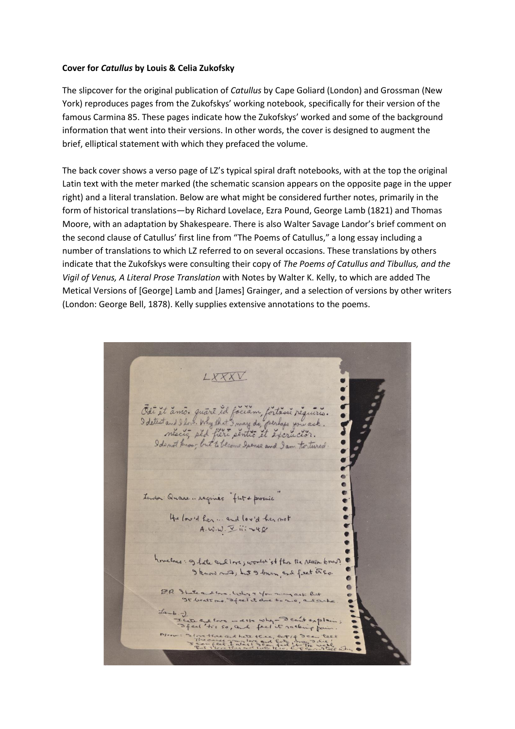## **Cover for** *Catullus* **by Louis & Celia Zukofsky**

The slipcover for the original publication of *Catullus* by Cape Goliard (London) and Grossman (New York) reproduces pages from the Zukofskys' working notebook, specifically for their version of the famous Carmina 85. These pages indicate how the Zukofskys' worked and some of the background information that went into their versions. In other words, the cover is designed to augment the brief, elliptical statement with which they prefaced the volume.

The back cover shows a verso page of LZ's typical spiral draft notebooks, with at the top the original Latin text with the meter marked (the schematic scansion appears on the opposite page in the upper right) and a literal translation. Below are what might be considered further notes, primarily in the form of historical translations—by Richard Lovelace, Ezra Pound, George Lamb (1821) and Thomas Moore, with an adaptation by Shakespeare. There is also Walter Savage Landor's brief comment on the second clause of Catullus' first line from "The Poems of Catullus," a long essay including a number of translations to which LZ referred to on several occasions. These translations by others indicate that the Zukofskys were consulting their copy of *The Poems of Catullus and Tibullus, and the Vigil of Venus, A Literal Prose Translation* with Notes by Walter K. Kelly, to which are added The Metical Versions of [George] Lamb and [James] Grainger, and a selection of versions by other writers (London: George Bell, 1878). Kelly supplies extensive annotations to the poems.

LXXXV Odi et amo. quare id faciam, fortane requirio.<br>I detestant I love Why that I may do, perhaps you ask.<br>Neccio, ped fieri pentio et excrución.  $\bullet$ Landon: Quare. regimes "flat & prosaic He loved her ... and loved there mot<br>A. W.W. I iii - 48 hovelace: 9 Late and love; world 'st the the reason know? I know not; but I burn and fret ereo. ER State and love, Why & You may ask but<br>It beats me. Speel it done to 2.0, and a Lete are love - ask why - I can't expla<br>I feel this so, and fact it racking four because there and the the